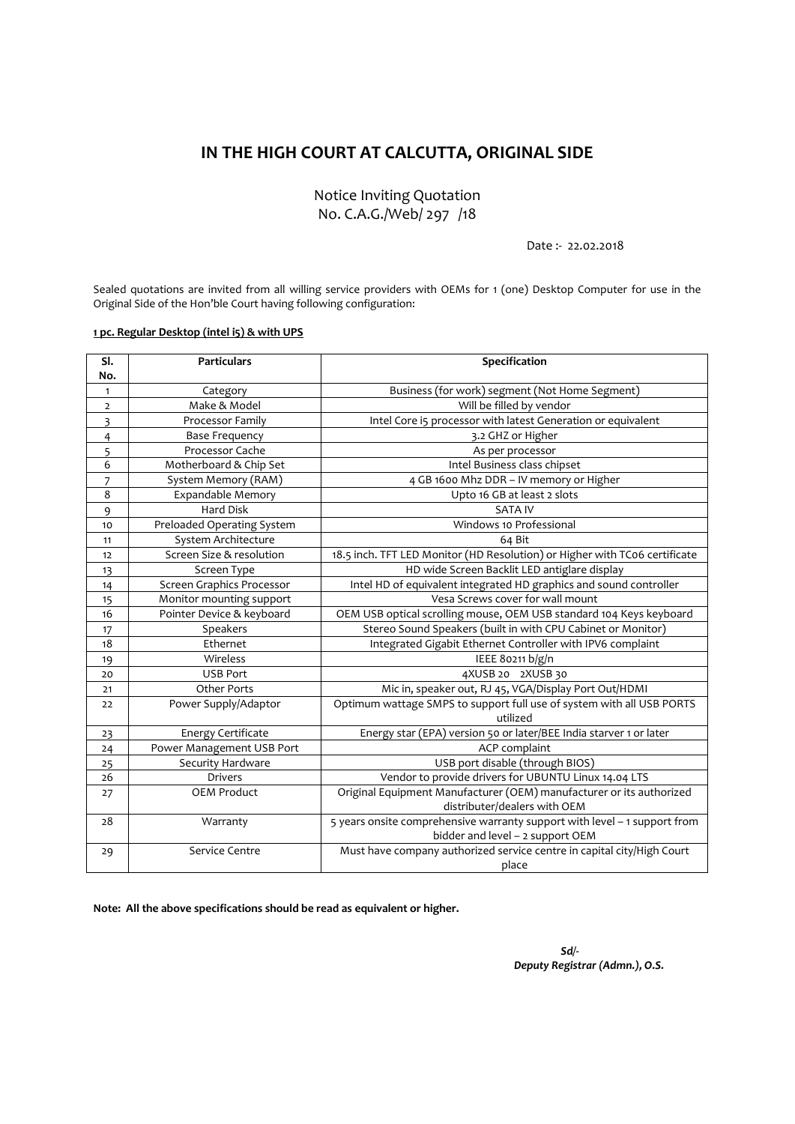## **IN THE HIGH COURT AT CALCUTTA, ORIGINAL SIDE**

Notice Inviting Quotation No. C.A.G./Web/ 297 /18

Date :‐ 22.02.2018

Sealed quotations are invited from all willing service providers with OEMs for 1 (one) Desktop Computer for use in the Original Side of the Hon'ble Court having following configuration:

## **pc. Regular Desktop (intel i5) & with UPS**

| SI.            | <b>Particulars</b>         | Specification                                                              |
|----------------|----------------------------|----------------------------------------------------------------------------|
| No.            |                            |                                                                            |
| $\mathbf{1}$   | Category                   | Business (for work) segment (Not Home Segment)                             |
| $\overline{2}$ | Make & Model               | Will be filled by vendor                                                   |
| 3              | Processor Family           | Intel Core i5 processor with latest Generation or equivalent               |
| 4              | <b>Base Frequency</b>      | 3.2 GHZ or Higher                                                          |
| 5              | Processor Cache            | As per processor                                                           |
| 6              | Motherboard & Chip Set     | Intel Business class chipset                                               |
| 7              | System Memory (RAM)        | 4 GB 1600 Mhz DDR - IV memory or Higher                                    |
| 8              | Expandable Memory          | Upto 16 GB at least 2 slots                                                |
| 9              | <b>Hard Disk</b>           | <b>SATA IV</b>                                                             |
| 10             | Preloaded Operating System | Windows 10 Professional                                                    |
| 11             | System Architecture        | 64 Bit                                                                     |
| 12             | Screen Size & resolution   | 18.5 inch. TFT LED Monitor (HD Resolution) or Higher with TC06 certificate |
| 13             | Screen Type                | HD wide Screen Backlit LED antiglare display                               |
| 14             | Screen Graphics Processor  | Intel HD of equivalent integrated HD graphics and sound controller         |
| 15             | Monitor mounting support   | Vesa Screws cover for wall mount                                           |
| 16             | Pointer Device & keyboard  | OEM USB optical scrolling mouse, OEM USB standard 104 Keys keyboard        |
| 17             | Speakers                   | Stereo Sound Speakers (built in with CPU Cabinet or Monitor)               |
| 18             | Ethernet                   | Integrated Gigabit Ethernet Controller with IPV6 complaint                 |
| 19             | Wireless                   | IEEE 80211 b/g/n                                                           |
| 20             | <b>USB Port</b>            | 4XUSB 20 2XUSB 30                                                          |
| 21             | <b>Other Ports</b>         | Mic in, speaker out, RJ 45, VGA/Display Port Out/HDMI                      |
| 22             | Power Supply/Adaptor       | Optimum wattage SMPS to support full use of system with all USB PORTS      |
|                |                            | utilized                                                                   |
| 23             | <b>Energy Certificate</b>  | Energy star (EPA) version 50 or later/BEE India starver 1 or later         |
| 24             | Power Management USB Port  | ACP complaint                                                              |
| 25             | Security Hardware          | USB port disable (through BIOS)                                            |
| 26             | Drivers                    | Vendor to provide drivers for UBUNTU Linux 14.04 LTS                       |
| 27             | <b>OEM Product</b>         | Original Equipment Manufacturer (OEM) manufacturer or its authorized       |
|                |                            | distributer/dealers with OEM                                               |
| 28             | Warranty                   | 5 years onsite comprehensive warranty support with level - 1 support from  |
|                |                            | bidder and level - 2 support OEM                                           |
| 29             | Service Centre             | Must have company authorized service centre in capital city/High Court     |
|                |                            | place                                                                      |

**Note: All the above specifications should be read as equivalent or higher.**